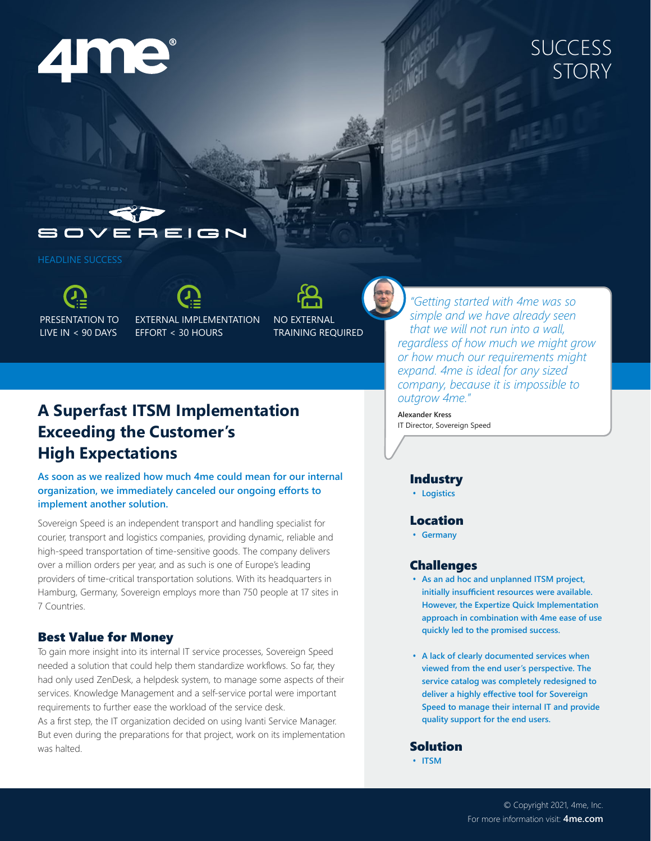# $\blacktriangle$ ne

# **SUCCESS** STORY

EIGN

HEADLINE SUCCESS

PRESENTATION TO LIVE IN < 90 DAYS

EXTERNAL IMPLEMENTATION EFFORT < 30 HOURS

NO EXTERNAL TRAINING REQUIRED

## **A Superfast ITSM Implementation Exceeding the Customer's High Expectations**

**As soon as we realized how much 4me could mean for our internal organization, we immediately canceled our ongoing efforts to implement another solution.**

Sovereign Speed is an independent transport and handling specialist for courier, transport and logistics companies, providing dynamic, reliable and high-speed transportation of time-sensitive goods. The company delivers over a million orders per year, and as such is one of Europe's leading providers of time-critical transportation solutions. With its headquarters in Hamburg, Germany, Sovereign employs more than 750 people at 17 sites in 7 Countries.

### Best Value for Money

To gain more insight into its internal IT service processes, Sovereign Speed needed a solution that could help them standardize workflows. So far, they had only used ZenDesk, a helpdesk system, to manage some aspects of their services. Knowledge Management and a self-service portal were important requirements to further ease the workload of the service desk. As a first step, the IT organization decided on using Ivanti Service Manager.

But even during the preparations for that project, work on its implementation was halted.

*"Getting started with 4me was so simple and we have already seen that we will not run into a wall, regardless of how much we might grow or how much our requirements might expand. 4me is ideal for any sized company, because it is impossible to outgrow 4me."*

**Alexander Kress** IT Director, Sovereign Speed

#### Industry

**• Logistics**

#### Location

**• Germany**

#### Challenges

- **• As an ad hoc and unplanned ITSM project, initially insufficient resources were available. However, the Expertize Quick Implementation approach in combination with 4me ease of use quickly led to the promised success.**
- **• A lack of clearly documented services when viewed from the end user's perspective. The service catalog was completely redesigned to deliver a highly effective tool for Sovereign Speed to manage their internal IT and provide quality support for the end users.**

#### Solution

**• ITSM**